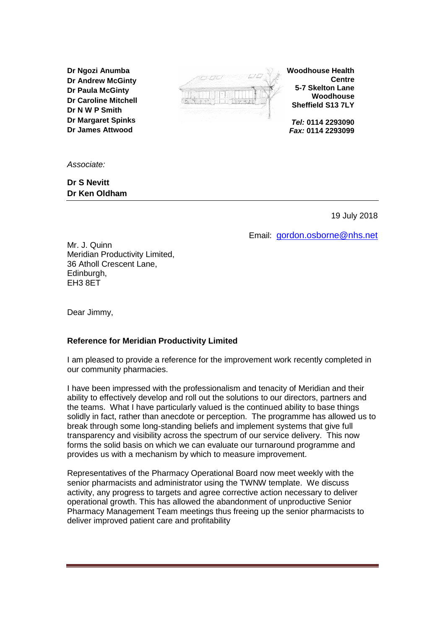**Dr Ngozi Anumba Dr Andrew McGinty Dr Paula McGinty Dr Caroline Mitchell Dr N W P Smith Dr Margaret Spinks Dr James Attwood**

*Associate:*

**Dr S Nevitt Dr Ken Oldham**



**Woodhouse Health Centre 5-7 Skelton Lane Woodhouse Sheffield S13 7LY**

*Tel:* **0114 2293090** *Fax:* **0114 2293099**

19 July 2018

Email: [gordon.osborne@nhs.net](mailto:gordon.osborne@nhs.net)

Mr. J. Quinn Meridian Productivity Limited, 36 Atholl Crescent Lane, Edinburgh, EH3 8ET

Dear Jimmy,

## **Reference for Meridian Productivity Limited**

I am pleased to provide a reference for the improvement work recently completed in our community pharmacies.

I have been impressed with the professionalism and tenacity of Meridian and their ability to effectively develop and roll out the solutions to our directors, partners and the teams. What I have particularly valued is the continued ability to base things solidly in fact, rather than anecdote or perception. The programme has allowed us to break through some long-standing beliefs and implement systems that give full transparency and visibility across the spectrum of our service delivery. This now forms the solid basis on which we can evaluate our turnaround programme and provides us with a mechanism by which to measure improvement.

Representatives of the Pharmacy Operational Board now meet weekly with the senior pharmacists and administrator using the TWNW template. We discuss activity, any progress to targets and agree corrective action necessary to deliver operational growth. This has allowed the abandonment of unproductive Senior Pharmacy Management Team meetings thus freeing up the senior pharmacists to deliver improved patient care and profitability